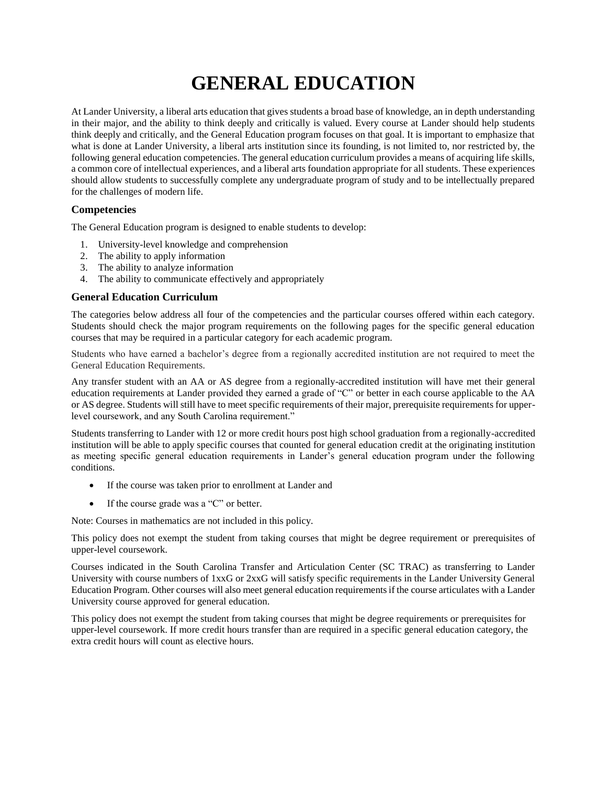## **GENERAL EDUCATION**

At Lander University, a liberal arts education that gives students a broad base of knowledge, an in depth understanding in their major, and the ability to think deeply and critically is valued. Every course at Lander should help students think deeply and critically, and the General Education program focuses on that goal. It is important to emphasize that what is done at Lander University, a liberal arts institution since its founding, is not limited to, nor restricted by, the following general education competencies. The general education curriculum provides a means of acquiring life skills, a common core of intellectual experiences, and a liberal arts foundation appropriate for all students. These experiences should allow students to successfully complete any undergraduate program of study and to be intellectually prepared for the challenges of modern life.

## **Competencies**

The General Education program is designed to enable students to develop:

- 1. University-level knowledge and comprehension
- 2. The ability to apply information
- 3. The ability to analyze information
- 4. The ability to communicate effectively and appropriately

## **General Education Curriculum**

The categories below address all four of the competencies and the particular courses offered within each category. Students should check the major program requirements on the following pages for the specific general education courses that may be required in a particular category for each academic program.

Students who have earned a bachelor's degree from a regionally accredited institution are not required to meet the General Education Requirements.

Any transfer student with an AA or AS degree from a regionally-accredited institution will have met their general education requirements at Lander provided they earned a grade of "C" or better in each course applicable to the AA or AS degree. Students will still have to meet specific requirements of their major, prerequisite requirements for upperlevel coursework, and any South Carolina requirement."

Students transferring to Lander with 12 or more credit hours post high school graduation from a regionally-accredited institution will be able to apply specific courses that counted for general education credit at the originating institution as meeting specific general education requirements in Lander's general education program under the following conditions.

- If the course was taken prior to enrollment at Lander and
- If the course grade was a "C" or better.

Note: Courses in mathematics are not included in this policy.

This policy does not exempt the student from taking courses that might be degree requirement or prerequisites of upper-level coursework.

Courses indicated in the South Carolina Transfer and Articulation Center (SC TRAC) as transferring to Lander University with course numbers of 1xxG or 2xxG will satisfy specific requirements in the Lander University General Education Program. Other courses will also meet general education requirements if the course articulates with a Lander University course approved for general education.

This policy does not exempt the student from taking courses that might be degree requirements or prerequisites for upper-level coursework. If more credit hours transfer than are required in a specific general education category, the extra credit hours will count as elective hours.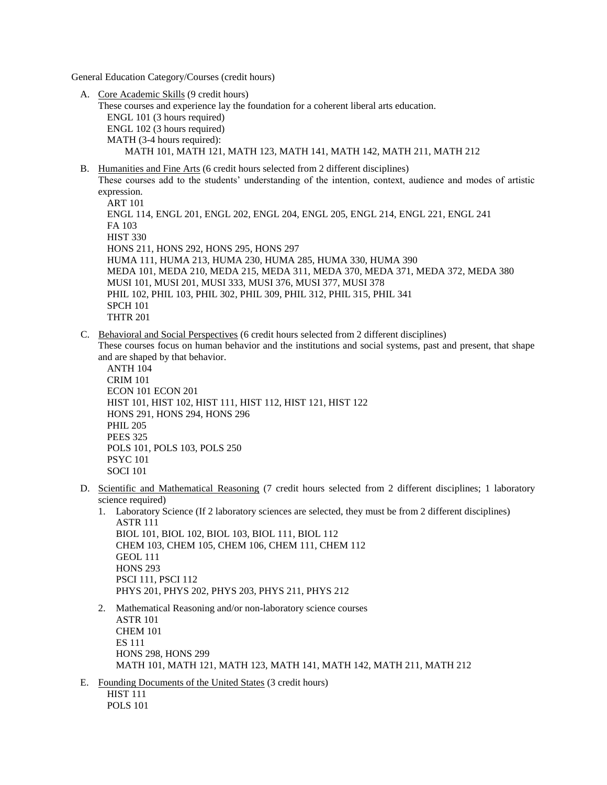General Education Category/Courses (credit hours)

A. Core Academic Skills (9 credit hours)

These courses and experience lay the foundation for a coherent liberal arts education. ENGL 101 (3 hours required) ENGL 102 (3 hours required) MATH (3-4 hours required): MATH 101, MATH 121, MATH 123, MATH 141, MATH 142, MATH 211, MATH 212

B. Humanities and Fine Arts (6 credit hours selected from 2 different disciplines) These courses add to the students' understanding of the intention, context, audience and modes of artistic

expression. ART 101 ENGL 114, ENGL 201, ENGL 202, ENGL 204, ENGL 205, ENGL 214, ENGL 221, ENGL 241 FA 103 HIST 330 HONS 211, HONS 292, HONS 295, HONS 297 HUMA 111, HUMA 213, HUMA 230, HUMA 285, HUMA 330, HUMA 390 MEDA 101, MEDA 210, MEDA 215, MEDA 311, MEDA 370, MEDA 371, MEDA 372, MEDA 380 MUSI 101, MUSI 201, MUSI 333, MUSI 376, MUSI 377, MUSI 378 PHIL 102, PHIL 103, PHIL 302, PHIL 309, PHIL 312, PHIL 315, PHIL 341 SPCH 101 THTR 201

C. Behavioral and Social Perspectives (6 credit hours selected from 2 different disciplines)

These courses focus on human behavior and the institutions and social systems, past and present, that shape and are shaped by that behavior.

ANTH 104 CRIM 101 ECON 101 ECON 201 HIST 101, HIST 102, HIST 111, HIST 112, HIST 121, HIST 122 HONS 291, HONS 294, HONS 296 PHIL 205 PEES 325 POLS 101, POLS 103, POLS 250 PSYC 101 SOCI 101

D. Scientific and Mathematical Reasoning (7 credit hours selected from 2 different disciplines; 1 laboratory science required)

1. Laboratory Science (If 2 laboratory sciences are selected, they must be from 2 different disciplines) ASTR 111 BIOL 101, BIOL 102, BIOL 103, BIOL 111, BIOL 112 CHEM 103, CHEM 105, CHEM 106, CHEM 111, CHEM 112 GEOL 111 **HONS 293** PSCI 111, PSCI 112 PHYS 201, PHYS 202, PHYS 203, PHYS 211, PHYS 212

- 2. Mathematical Reasoning and/or non-laboratory science courses ASTR 101 CHEM 101 ES 111 HONS 298, HONS 299 MATH 101, MATH 121, MATH 123, MATH 141, MATH 142, MATH 211, MATH 212
- E. Founding Documents of the United States (3 credit hours) HIST 111 POLS 101